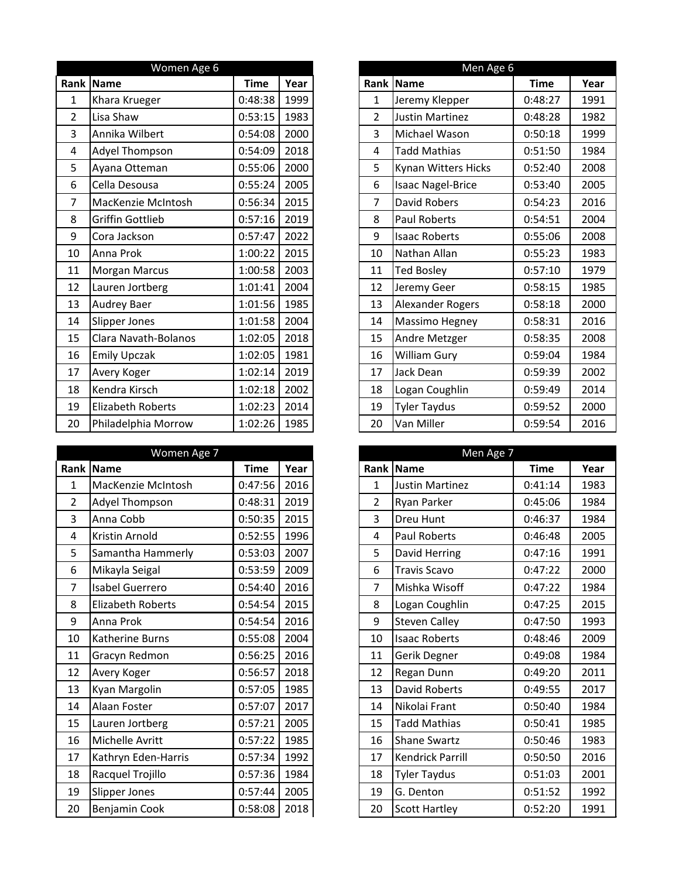|                | Women Age 6             |             |      |                | Men Age 6                |             |      |
|----------------|-------------------------|-------------|------|----------------|--------------------------|-------------|------|
| Rank           | Name                    | <b>Time</b> | Year |                | Rank   Name              | <b>Time</b> | Year |
| $\mathbf 1$    | Khara Krueger           | 0:48:38     | 1999 | $\mathbf{1}$   | Jeremy Klepper           | 0:48:27     | 1991 |
| $\overline{2}$ | Lisa Shaw               | 0:53:15     | 1983 | $\overline{2}$ | Justin Martinez          | 0:48:28     | 1982 |
| 3              | Annika Wilbert          | 0:54:08     | 2000 | $\overline{3}$ | Michael Wason            | 0:50:18     | 1999 |
| 4              | Adyel Thompson          | 0:54:09     | 2018 | 4              | <b>Tadd Mathias</b>      | 0:51:50     | 1984 |
| 5              | Ayana Otteman           | 0:55:06     | 2000 | 5              | Kynan Witters Hicks      | 0:52:40     | 2008 |
| 6              | Cella Desousa           | 0:55:24     | 2005 | 6              | <b>Isaac Nagel-Brice</b> | 0:53:40     | 2005 |
| 7              | MacKenzie McIntosh      | 0:56:34     | 2015 | $\overline{7}$ | David Robers             | 0:54:23     | 2016 |
| 8              | <b>Griffin Gottlieb</b> | 0:57:16     | 2019 | 8              | <b>Paul Roberts</b>      | 0:54:51     | 2004 |
| 9              | Cora Jackson            | 0:57:47     | 2022 | 9              | <b>Isaac Roberts</b>     | 0:55:06     | 2008 |
| 10             | Anna Prok               | 1:00:22     | 2015 | 10             | Nathan Allan             | 0:55:23     | 1983 |
| 11             | <b>Morgan Marcus</b>    | 1:00:58     | 2003 | 11             | <b>Ted Bosley</b>        | 0:57:10     | 1979 |
| 12             | Lauren Jortberg         | 1:01:41     | 2004 | 12             | Jeremy Geer              | 0:58:15     | 1985 |
| 13             | <b>Audrey Baer</b>      | 1:01:56     | 1985 | 13             | Alexander Rogers         | 0:58:18     | 2000 |
| 14             | Slipper Jones           | 1:01:58     | 2004 | 14             | Massimo Hegney           | 0:58:31     | 2016 |
| 15             | Clara Navath-Bolanos    | 1:02:05     | 2018 | 15             | Andre Metzger            | 0:58:35     | 2008 |
| 16             | <b>Emily Upczak</b>     | 1:02:05     | 1981 | 16             | <b>William Gury</b>      | 0:59:04     | 1984 |
| 17             | Avery Koger             | 1:02:14     | 2019 | 17             | Jack Dean                | 0:59:39     | 2002 |
| 18             | Kendra Kirsch           | 1:02:18     | 2002 | 18             | Logan Coughlin           | 0:59:49     | 2014 |
| 19             | Elizabeth Roberts       | 1:02:23     | 2014 | 19             | <b>Tyler Taydus</b>      | 0:59:52     | 2000 |
| 20             | Philadelphia Morrow     | 1:02:26     | 1985 | 20             | Van Miller               | 0:59:54     | 2016 |

|                | Women Age 7              |             |      |                | Men Age 7               |             |      |
|----------------|--------------------------|-------------|------|----------------|-------------------------|-------------|------|
|                | Rank Name                | <b>Time</b> | Year |                | Rank Name               | <b>Time</b> | Year |
| $\mathbf{1}$   | MacKenzie McIntosh       | 0:47:56     | 2016 | $\mathbf 1$    | <b>Justin Martinez</b>  | 0:41:14     | 1983 |
| $\overline{2}$ | Adyel Thompson           | 0:48:31     | 2019 | $\overline{2}$ | <b>Ryan Parker</b>      | 0:45:06     | 1984 |
| 3              | Anna Cobb                | 0:50:35     | 2015 | $\overline{3}$ | <b>Dreu Hunt</b>        | 0:46:37     | 1984 |
| 4              | Kristin Arnold           | 0:52:55     | 1996 | $\overline{4}$ | Paul Roberts            | 0:46:48     | 2005 |
| 5              | Samantha Hammerly        | 0:53:03     | 2007 | 5              | David Herring           | 0:47:16     | 1991 |
| 6              | Mikayla Seigal           | 0:53:59     | 2009 | 6              | <b>Travis Scavo</b>     | 0:47:22     | 2000 |
| 7              | Isabel Guerrero          | 0:54:40     | 2016 | $\overline{7}$ | Mishka Wisoff           | 0:47:22     | 1984 |
| 8              | <b>Elizabeth Roberts</b> | 0:54:54     | 2015 | 8              | Logan Coughlin          | 0:47:25     | 2015 |
| 9              | Anna Prok                | 0:54:54     | 2016 | 9              | <b>Steven Calley</b>    | 0:47:50     | 1993 |
| 10             | <b>Katherine Burns</b>   | 0:55:08     | 2004 | 10             | <b>Isaac Roberts</b>    | 0:48:46     | 2009 |
| 11             | Gracyn Redmon            | 0:56:25     | 2016 | 11             | Gerik Degner            | 0:49:08     | 1984 |
| 12             | Avery Koger              | 0:56:57     | 2018 | 12             | Regan Dunn              | 0:49:20     | 2011 |
| 13             | Kyan Margolin            | 0:57:05     | 1985 | 13             | <b>David Roberts</b>    | 0:49:55     | 2017 |
| 14             | Alaan Foster             | 0:57:07     | 2017 | 14             | Nikolai Frant           | 0:50:40     | 1984 |
| 15             | Lauren Jortberg          | 0:57:21     | 2005 | 15             | <b>Tadd Mathias</b>     | 0:50:41     | 1985 |
| 16             | Michelle Avritt          | 0:57:22     | 1985 | 16             | <b>Shane Swartz</b>     | 0:50:46     | 1983 |
| 17             | Kathryn Eden-Harris      | 0:57:34     | 1992 | 17             | <b>Kendrick Parrill</b> | 0:50:50     | 2016 |
| 18             | Racquel Trojillo         | 0:57:36     | 1984 | 18             | <b>Tyler Taydus</b>     | 0:51:03     | 2001 |
| 19             | Slipper Jones            | 0:57:44     | 2005 | 19             | G. Denton               | 0:51:52     | 1992 |
| 20             | Benjamin Cook            | 0:58:08     | 2018 | 20             | Scott Hartley           | 0:52:20     | 1991 |

|                | Women Age 6              |             |      |
|----------------|--------------------------|-------------|------|
|                | ank  Name                | <b>Time</b> | Year |
| $\mathbf{1}$   | Khara Krueger            | 0:48:38     | 1999 |
| $\overline{2}$ | Lisa Shaw                | 0:53:15     | 1983 |
| 3              | Annika Wilbert           | 0:54:08     | 2000 |
| $\overline{4}$ | Adyel Thompson           | 0:54:09     | 2018 |
| 5              | Ayana Otteman            | 0:55:06     | 2000 |
| 6              | Cella Desousa            | 0:55:24     | 2005 |
| $\overline{7}$ | MacKenzie McIntosh       | 0:56:34     | 2015 |
| 8              | <b>Griffin Gottlieb</b>  | 0:57:16     | 2019 |
| 9              | Cora Jackson             | 0:57:47     | 2022 |
| 10             | Anna Prok                | 1:00:22     | 2015 |
| 11             | <b>Morgan Marcus</b>     | 1:00:58     | 2003 |
| 12             | Lauren Jortberg          | 1:01:41     | 2004 |
| 13             | <b>Audrey Baer</b>       | 1:01:56     | 1985 |
| 14             | Slipper Jones            | 1:01:58     | 2004 |
| 15             | Clara Navath-Bolanos     | 1:02:05     | 2018 |
| 16             | <b>Emily Upczak</b>      | 1:02:05     | 1981 |
| 17             | Avery Koger              | 1:02:14     | 2019 |
| 18             | Kendra Kirsch            | 1:02:18     | 2002 |
| 19             | <b>Elizabeth Roberts</b> | 1:02:23     | 2014 |
| 20             | Philadelphia Morrow      | 1:02:26     | 1985 |

|                | Women Age 7              |             |      |
|----------------|--------------------------|-------------|------|
|                | ank  Name                | <b>Time</b> | Year |
| $\mathbf{1}$   | MacKenzie McIntosh       | 0:47:56     | 2016 |
| $\overline{2}$ | Adyel Thompson           | 0:48:31     | 2019 |
| 3              | Anna Cobb                | 0:50:35     | 2015 |
| 4              | Kristin Arnold           | 0:52:55     | 1996 |
| 5              | Samantha Hammerly        | 0:53:03     | 2007 |
| 6              | Mikayla Seigal           | 0:53:59     | 2009 |
| $\overline{7}$ | Isabel Guerrero          | 0:54:40     | 2016 |
| 8              | <b>Elizabeth Roberts</b> | 0:54:54     | 2015 |
| 9              | Anna Prok                | 0:54:54     | 2016 |
| 10             | Katherine Burns          | 0:55:08     | 2004 |
| 11             | Gracyn Redmon            | 0:56:25     | 2016 |
| 12             | Avery Koger              | 0:56:57     | 2018 |
| 13             | Kyan Margolin            | 0:57:05     | 1985 |
| 14             | Alaan Foster             | 0:57:07     | 2017 |
| 15             | Lauren Jortberg          | 0:57:21     | 2005 |
| 16             | Michelle Avritt          | 0:57:22     | 1985 |
| 17             | Kathryn Eden-Harris      | 0:57:34     | 1992 |
| 18             | Racquel Trojillo         | 0:57:36     | 1984 |
| 19             | Slipper Jones            | 0:57:44     | 2005 |
| 20             | Benjamin Cook            | 0:58:08     | 2018 |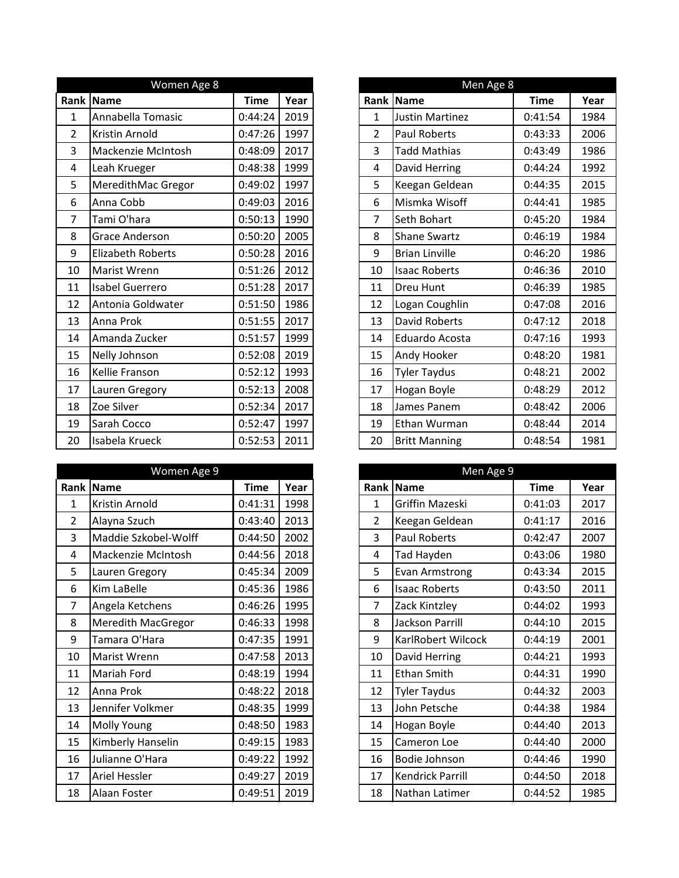| Women Age 8    |                          |             |      |  |
|----------------|--------------------------|-------------|------|--|
| Rank           | Name                     | <b>Time</b> | Year |  |
| $\mathbf 1$    | Annabella Tomasic        | 0:44:24     | 2019 |  |
| $\overline{2}$ | Kristin Arnold           | 0:47:26     | 1997 |  |
| 3              | Mackenzie McIntosh       | 0:48:09     | 2017 |  |
| 4              | Leah Krueger             | 0:48:38     | 1999 |  |
| 5              | MeredithMac Gregor       | 0:49:02     | 1997 |  |
| 6              | Anna Cobb                | 0:49:03     | 2016 |  |
| 7              | Tami O'hara              | 0:50:13     | 1990 |  |
| 8              | <b>Grace Anderson</b>    | 0:50:20     | 2005 |  |
| 9              | <b>Elizabeth Roberts</b> | 0:50:28     | 2016 |  |
| 10             | Marist Wrenn             | 0:51:26     | 2012 |  |
| 11             | Isabel Guerrero          | 0:51:28     | 2017 |  |
| 12             | Antonia Goldwater        | 0:51:50     | 1986 |  |
| 13             | Anna Prok                | 0:51:55     | 2017 |  |
| 14             | Amanda Zucker            | 0:51:57     | 1999 |  |
| 15             | Nelly Johnson            | 0:52:08     | 2019 |  |
| 16             | Kellie Franson           | 0:52:12     | 1993 |  |
| 17             | Lauren Gregory           | 0:52:13     | 2008 |  |
| 18             | Zoe Silver               | 0:52:34     | 2017 |  |
| 19             | Sarah Cocco              | 0:52:47     | 1997 |  |
| 20             | Isabela Krueck           | 0:52:53     | 2011 |  |

|                | Women Age 9               |             |      |
|----------------|---------------------------|-------------|------|
|                | Rank Name                 | <b>Time</b> | Year |
| $\mathbf{1}$   | Kristin Arnold            | 0:41:31     | 1998 |
| $\overline{2}$ | Alayna Szuch              | 0:43:40     | 2013 |
| 3              | Maddie Szkobel-Wolff      | 0:44:50     | 2002 |
| 4              | Mackenzie McIntosh        | 0:44:56     | 2018 |
| 5              | Lauren Gregory            | 0:45:34     | 2009 |
| 6              | Kim LaBelle               | 0:45:36     | 1986 |
| 7              | Angela Ketchens           | 0:46:26     | 1995 |
| 8              | <b>Meredith MacGregor</b> | 0:46:33     | 1998 |
| 9              | Tamara O'Hara             | 0:47:35     | 1991 |
| 10             | Marist Wrenn              | 0:47:58     | 2013 |
| 11             | Mariah Ford               | 0:48:19     | 1994 |
| 12             | Anna Prok                 | 0:48:22     | 2018 |
| 13             | Jennifer Volkmer          | 0:48:35     | 1999 |
| 14             | Molly Young               | 0:48:50     | 1983 |
| 15             | Kimberly Hanselin         | 0:49:15     | 1983 |
| 16             | Julianne O'Hara           | 0:49:22     | 1992 |
| 17             | <b>Ariel Hessler</b>      | 0:49:27     | 2019 |
| 18             | Alaan Foster              | 0:49:51     | 2019 |

|                | Women Age 8              |             |      |
|----------------|--------------------------|-------------|------|
|                | ank  Name                | <b>Time</b> | Year |
|                | Annabella Tomasic        | 0:44:24     | 2019 |
|                | <b>Kristin Arnold</b>    | 0:47:26     | 1997 |
| 3              | Mackenzie McIntosh       | 0:48:09     | 2017 |
| $\overline{4}$ | Leah Krueger             | 0:48:38     | 1999 |
| 5              | MeredithMac Gregor       | 0:49:02     | 1997 |
| 6              | Anna Cobb                | 0:49:03     | 2016 |
| $\overline{7}$ | Tami O'hara              | 0:50:13     | 1990 |
| 8              | <b>Grace Anderson</b>    | 0:50:20     | 2005 |
| 9              | <b>Elizabeth Roberts</b> | 0:50:28     | 2016 |
| 10             | Marist Wrenn             | 0:51:26     | 2012 |
| 11             | Isabel Guerrero          | 0:51:28     | 2017 |
| 12             | Antonia Goldwater        | 0:51:50     | 1986 |
| 13             | Anna Prok                | 0:51:55     | 2017 |
| 14             | Amanda Zucker            | 0:51:57     | 1999 |
| 15             | Nelly Johnson            | 0:52:08     | 2019 |
| 16             | Kellie Franson           | 0:52:12     | 1993 |
| 17             | Lauren Gregory           | 0:52:13     | 2008 |
| 18             | Zoe Silver               | 0:52:34     | 2017 |
| 19             | Sarah Cocco              | 0:52:47     | 1997 |
| 20             | Isabela Krueck           | 0:52:53     | 2011 |

|                | Women Age 9               |             |      |
|----------------|---------------------------|-------------|------|
|                | ank  Name                 | <b>Time</b> | Year |
| $\mathbf{1}$   | Kristin Arnold            | 0:41:31     | 1998 |
| $\overline{2}$ | Alayna Szuch              | 0:43:40     | 2013 |
| 3              | Maddie Szkobel-Wolff      | 0:44:50     | 2002 |
| $\overline{4}$ | Mackenzie McIntosh        | 0:44:56     | 2018 |
| 5              | Lauren Gregory            | 0:45:34     | 2009 |
| 6              | Kim LaBelle               | 0:45:36     | 1986 |
| $\overline{7}$ | Angela Ketchens           | 0:46:26     | 1995 |
| 8              | <b>Meredith MacGregor</b> | 0:46:33     | 1998 |
| 9              | Tamara O'Hara             | 0:47:35     | 1991 |
| 10             | Marist Wrenn              | 0:47:58     | 2013 |
| 11             | <b>Mariah Ford</b>        | 0:48:19     | 1994 |
| 12             | Anna Prok                 | 0:48:22     | 2018 |
| 13             | Jennifer Volkmer          | 0:48:35     | 1999 |
| 14             | <b>Molly Young</b>        | 0:48:50     | 1983 |
| 15             | Kimberly Hanselin         | 0:49:15     | 1983 |
| 16             | Julianne O'Hara           | 0:49:22     | 1992 |
| 17             | <b>Ariel Hessler</b>      | 0:49:27     | 2019 |
| 18             | Alaan Foster              | 0:49:51     | 2019 |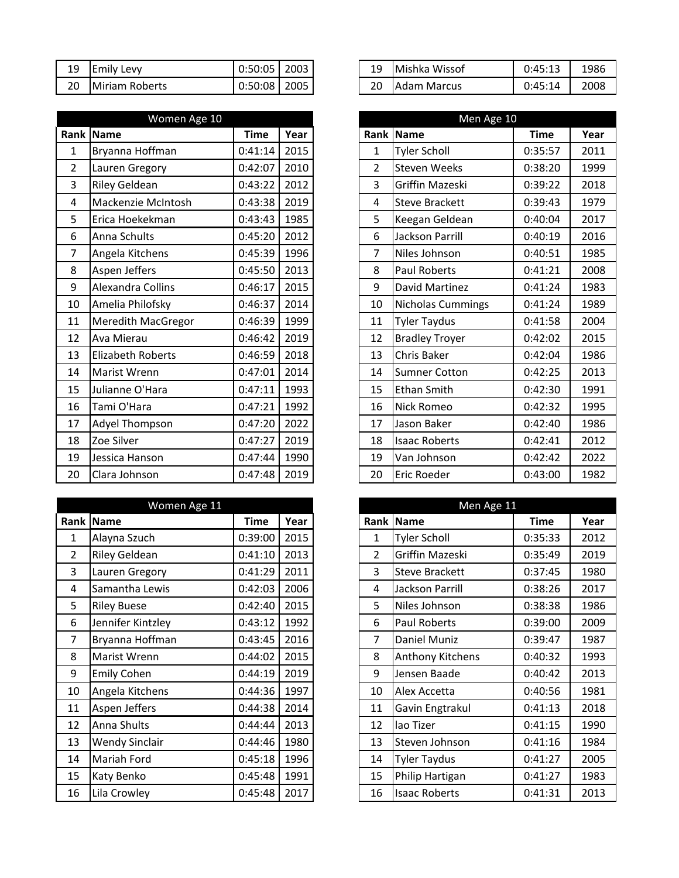|    | 19 Emily Levy  | $0:50:05$ 2003               |  |
|----|----------------|------------------------------|--|
| 20 | Miriam Roberts | $\vert$ 0:50:08 $\vert$ 2005 |  |

|                | Women Age 10              |             |      |                | Men Age 10            |             |      |
|----------------|---------------------------|-------------|------|----------------|-----------------------|-------------|------|
| Rank           | <b>Name</b>               | <b>Time</b> | Year |                | Rank Name             | <b>Time</b> | Year |
| $\mathbf 1$    | Bryanna Hoffman           | 0:41:14     | 2015 | $\mathbf{1}$   | <b>Tyler Scholl</b>   | 0:35:57     | 2011 |
| $\overline{2}$ | Lauren Gregory            | 0:42:07     | 2010 | $\overline{2}$ | <b>Steven Weeks</b>   | 0:38:20     | 1999 |
| 3              | <b>Riley Geldean</b>      | 0:43:22     | 2012 | $\overline{3}$ | Griffin Mazeski       | 0:39:22     | 2018 |
| $\overline{4}$ | Mackenzie McIntosh        | 0:43:38     | 2019 | 4              | <b>Steve Brackett</b> | 0:39:43     | 1979 |
| 5              | Erica Hoekekman           | 0:43:43     | 1985 | 5              | Keegan Geldean        | 0:40:04     | 2017 |
| 6              | Anna Schults              | 0:45:20     | 2012 | 6              | Jackson Parrill       | 0:40:19     | 2016 |
| 7              | Angela Kitchens           | 0:45:39     | 1996 | $\overline{7}$ | Niles Johnson         | 0:40:51     | 1985 |
| 8              | Aspen Jeffers             | 0:45:50     | 2013 | 8              | <b>Paul Roberts</b>   | 0:41:21     | 2008 |
| 9              | <b>Alexandra Collins</b>  | 0:46:17     | 2015 | 9              | David Martinez        | 0:41:24     | 1983 |
| 10             | Amelia Philofsky          | 0:46:37     | 2014 | 10             | Nicholas Cummings     | 0:41:24     | 1989 |
| 11             | <b>Meredith MacGregor</b> | 0:46:39     | 1999 | 11             | <b>Tyler Taydus</b>   | 0:41:58     | 2004 |
| 12             | Ava Mierau                | 0:46:42     | 2019 | 12             | <b>Bradley Troyer</b> | 0:42:02     | 2015 |
| 13             | <b>Elizabeth Roberts</b>  | 0:46:59     | 2018 | 13             | Chris Baker           | 0:42:04     | 1986 |
| 14             | <b>Marist Wrenn</b>       | 0:47:01     | 2014 | 14             | <b>Sumner Cotton</b>  | 0:42:25     | 2013 |
| 15             | Julianne O'Hara           | 0:47:11     | 1993 | 15             | <b>Ethan Smith</b>    | 0:42:30     | 1991 |
| 16             | Tami O'Hara               | 0:47:21     | 1992 | 16             | Nick Romeo            | 0:42:32     | 1995 |
| 17             | Adyel Thompson            | 0:47:20     | 2022 | 17             | Jason Baker           | 0:42:40     | 1986 |
| 18             | Zoe Silver                | 0:47:27     | 2019 | 18             | <b>Isaac Roberts</b>  | 0:42:41     | 2012 |
| 19             | Jessica Hanson            | 0:47:44     | 1990 | 19             | Van Johnson           | 0:42:42     | 2022 |
| 20             | Clara Johnson             | 0:47:48     | 2019 | 20             | <b>Eric Roeder</b>    | 0:43:00     | 1982 |

|    | Women Age 11          |             |      |
|----|-----------------------|-------------|------|
|    | <b>Rank   Name</b>    | <b>Time</b> | Year |
| 1  | Alayna Szuch          | 0:39:00     | 2015 |
| 2  | <b>Riley Geldean</b>  | 0:41:10     | 2013 |
| 3  | Lauren Gregory        | 0:41:29     | 2011 |
| 4  | Samantha Lewis        | 0:42:03     | 2006 |
| 5  | <b>Riley Buese</b>    | 0:42:40     | 2015 |
| 6  | Jennifer Kintzley     | 0:43:12     | 1992 |
| 7  | Bryanna Hoffman       | 0:43:45     | 2016 |
| 8  | Marist Wrenn          | 0:44:02     | 2015 |
| 9  | <b>Emily Cohen</b>    | 0:44:19     | 2019 |
| 10 | Angela Kitchens       | 0:44:36     | 1997 |
| 11 | Aspen Jeffers         | 0:44:38     | 2014 |
| 12 | Anna Shults           | 0:44:44     | 2013 |
| 13 | <b>Wendy Sinclair</b> | 0:44:46     | 1980 |
| 14 | <b>Mariah Ford</b>    | 0:45:18     | 1996 |
| 15 | Katy Benko            | 0:45:48     | 1991 |
| 16 | Lila Crowley          | 0:45:48     | 2017 |

| 19 | Emily<br>Levv  | 0:50:05 | 2003 | 19 | Mishka<br>Wissof | 0:45:13<br>$.4^{\circ}$ | 1986 |
|----|----------------|---------|------|----|------------------|-------------------------|------|
| 20 | Miriam Roberts | 0:50:08 | 2005 | 20 | Marcus<br>Adam   | 0:45:14                 | 2008 |

|                         | Women Age 10              |             |      |
|-------------------------|---------------------------|-------------|------|
|                         | ank  Name                 | <b>Time</b> | Year |
| $\mathbf{1}$            | Bryanna Hoffman           | 0:41:14     | 2015 |
| $\overline{2}$          | Lauren Gregory            | 0:42:07     | 2010 |
| 3                       | <b>Riley Geldean</b>      | 0:43:22     | 2012 |
| $\overline{\mathbf{4}}$ | Mackenzie McIntosh        | 0:43:38     | 2019 |
| 5                       | Erica Hoekekman           | 0:43:43     | 1985 |
| 6                       | Anna Schults              | 0:45:20     | 2012 |
| $\overline{7}$          | Angela Kitchens           | 0:45:39     | 1996 |
| 8                       | Aspen Jeffers             | 0:45:50     | 2013 |
| 9                       | Alexandra Collins         | 0:46:17     | 2015 |
| 10                      | Amelia Philofsky          | 0:46:37     | 2014 |
| 11                      | <b>Meredith MacGregor</b> | 0:46:39     | 1999 |
| 12                      | Ava Mierau                | 0:46:42     | 2019 |
| 13                      | <b>Elizabeth Roberts</b>  | 0:46:59     | 2018 |
| 14                      | Marist Wrenn              | 0:47:01     | 2014 |
| 15                      | Julianne O'Hara           | 0:47:11     | 1993 |
| 16                      | Tami O'Hara               | 0:47:21     | 1992 |
| 17                      | Adyel Thompson            | 0:47:20     | 2022 |
| 18                      | Zoe Silver                | 0:47:27     | 2019 |
| 19                      | Jessica Hanson            | 0:47:44     | 1990 |
| 20                      | Clara Johnson             | 0:47:48     | 2019 |

|                | Women Age 11          |             |      |
|----------------|-----------------------|-------------|------|
|                | ank  Name             | <b>Time</b> | Year |
| $\mathbf{1}$   | Alayna Szuch          | 0:39:00     | 2015 |
| $\overline{2}$ | <b>Riley Geldean</b>  | 0:41:10     | 2013 |
| 3              | Lauren Gregory        | 0:41:29     | 2011 |
| $\overline{4}$ | Samantha Lewis        | 0:42:03     | 2006 |
| 5              | <b>Riley Buese</b>    | 0:42:40     | 2015 |
| 6              | Jennifer Kintzley     | 0:43:12     | 1992 |
| $\overline{7}$ | Bryanna Hoffman       | 0:43:45     | 2016 |
| 8              | Marist Wrenn          | 0:44:02     | 2015 |
| 9              | <b>Emily Cohen</b>    | 0:44:19     | 2019 |
| 10             | Angela Kitchens       | 0:44:36     | 1997 |
| 11             | Aspen Jeffers         | 0:44:38     | 2014 |
| 12             | Anna Shults           | 0:44:44     | 2013 |
| 13             | <b>Wendy Sinclair</b> | 0:44:46     | 1980 |
| 14             | Mariah Ford           | 0:45:18     | 1996 |
| 15             | Katy Benko            | 0:45:48     | 1991 |
| 16             | Lila Crowley          | 0:45:48     | 2017 |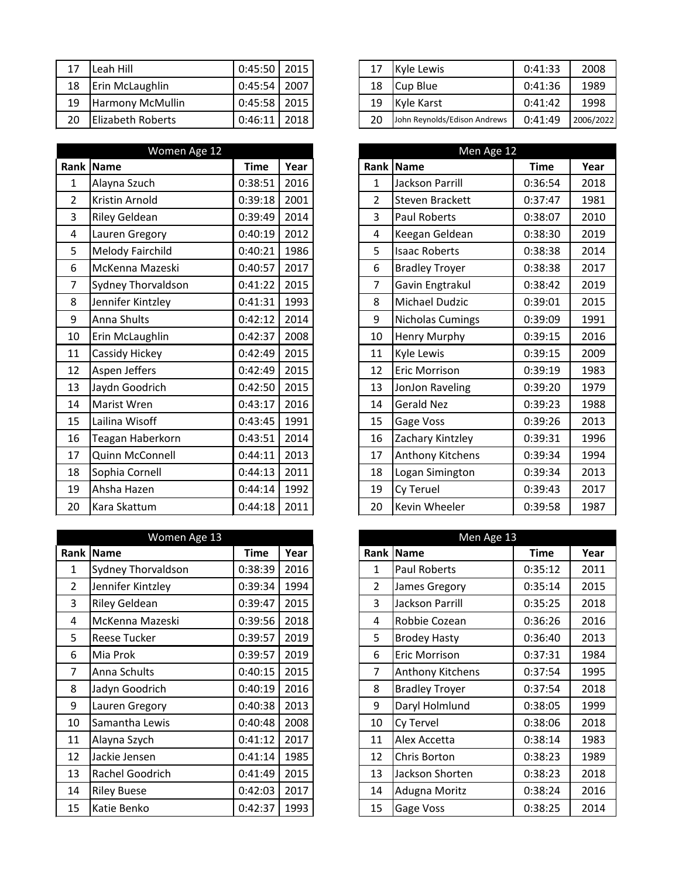| 17 | Leah Hill                | $0:45:50$ 2015   |  |
|----|--------------------------|------------------|--|
|    | 18   Erin McLaughlin     | $0:45:54$   2007 |  |
| 19 | <b>Harmony McMullin</b>  | $0:45:58$ 2015   |  |
| 20 | <b>Elizabeth Roberts</b> | $0:46:11$ 2018   |  |

| Women Age 12   |                         |             |      |  | Men Age 12     |                         |             |      |
|----------------|-------------------------|-------------|------|--|----------------|-------------------------|-------------|------|
| Rank           | <b>Name</b>             | <b>Time</b> | Year |  |                | Rank Name               | <b>Time</b> | Year |
| $\mathbf 1$    | Alayna Szuch            | 0:38:51     | 2016 |  | $\mathbf{1}$   | <b>Jackson Parrill</b>  | 0:36:54     | 2018 |
| $\overline{2}$ | Kristin Arnold          | 0:39:18     | 2001 |  | $\overline{2}$ | <b>Steven Brackett</b>  | 0:37:47     | 1981 |
| 3              | <b>Riley Geldean</b>    | 0:39:49     | 2014 |  | $\overline{3}$ | Paul Roberts            | 0:38:07     | 2010 |
| $\overline{4}$ | Lauren Gregory          | 0:40:19     | 2012 |  | 4              | Keegan Geldean          | 0:38:30     | 2019 |
| 5              | <b>Melody Fairchild</b> | 0:40:21     | 1986 |  | 5              | <b>Isaac Roberts</b>    | 0:38:38     | 2014 |
| 6              | McKenna Mazeski         | 0:40:57     | 2017 |  | 6              | <b>Bradley Troyer</b>   | 0:38:38     | 2017 |
| $\overline{7}$ | Sydney Thorvaldson      | 0:41:22     | 2015 |  | $\overline{7}$ | Gavin Engtrakul         | 0:38:42     | 2019 |
| 8              | Jennifer Kintzley       | 0:41:31     | 1993 |  | 8              | Michael Dudzic          | 0:39:01     | 2015 |
| 9              | Anna Shults             | 0:42:12     | 2014 |  | 9              | <b>Nicholas Cumings</b> | 0:39:09     | 1991 |
| 10             | Erin McLaughlin         | 0:42:37     | 2008 |  | 10             | <b>Henry Murphy</b>     | 0:39:15     | 2016 |
| 11             | Cassidy Hickey          | 0:42:49     | 2015 |  | 11             | Kyle Lewis              | 0:39:15     | 2009 |
| 12             | Aspen Jeffers           | 0:42:49     | 2015 |  | 12             | <b>Eric Morrison</b>    | 0:39:19     | 1983 |
| 13             | Jaydn Goodrich          | 0:42:50     | 2015 |  | 13             | JonJon Raveling         | 0:39:20     | 1979 |
| 14             | <b>Marist Wren</b>      | 0:43:17     | 2016 |  | 14             | <b>Gerald Nez</b>       | 0:39:23     | 1988 |
| 15             | Lailina Wisoff          | 0:43:45     | 1991 |  | 15             | Gage Voss               | 0:39:26     | 2013 |
| 16             | Teagan Haberkorn        | 0:43:51     | 2014 |  | 16             | Zachary Kintzley        | 0:39:31     | 1996 |
| 17             | Quinn McConnell         | 0:44:11     | 2013 |  | 17             | Anthony Kitchens        | 0:39:34     | 1994 |
| 18             | Sophia Cornell          | 0:44:13     | 2011 |  | 18             | Logan Simington         | 0:39:34     | 2013 |
| 19             | Ahsha Hazen             | 0:44:14     | 1992 |  | 19             | Cy Teruel               | 0:39:43     | 2017 |
| 20             | Kara Skattum            | 0:44:18     | 2011 |  | 20             | Kevin Wheeler           | 0:39:58     | 1987 |

|                | Women Age 13              |             |      | Men Age 13     |                       |             |      |  |
|----------------|---------------------------|-------------|------|----------------|-----------------------|-------------|------|--|
| Rank           | Name                      | <b>Time</b> | Year |                | Rank Name             | <b>Time</b> | Year |  |
| 1              | <b>Sydney Thorvaldson</b> | 0:38:39     | 2016 | $\mathbf{1}$   | Paul Roberts          | 0:35:12     | 2011 |  |
| $\overline{2}$ | Jennifer Kintzley         | 0:39:34     | 1994 | $\overline{2}$ | James Gregory         | 0:35:14     | 2015 |  |
| 3              | Riley Geldean             | 0:39:47     | 2015 | $\overline{3}$ | Jackson Parrill       | 0:35:25     | 2018 |  |
| 4              | McKenna Mazeski           | 0:39:56     | 2018 | 4              | Robbie Cozean         | 0:36:26     | 2016 |  |
| 5              | Reese Tucker              | 0:39:57     | 2019 | 5              | <b>Brodey Hasty</b>   | 0:36:40     | 2013 |  |
| 6              | Mia Prok                  | 0:39:57     | 2019 | 6              | Eric Morrison         | 0:37:31     | 1984 |  |
| 7              | Anna Schults              | 0:40:15     | 2015 | $\overline{7}$ | Anthony Kitchens      | 0:37:54     | 1995 |  |
| 8              | Jadyn Goodrich            | 0:40:19     | 2016 | 8              | <b>Bradley Troyer</b> | 0:37:54     | 2018 |  |
| 9              | Lauren Gregory            | 0:40:38     | 2013 | 9              | Daryl Holmlund        | 0:38:05     | 1999 |  |
| 10             | Samantha Lewis            | 0:40:48     | 2008 | 10             | Cy Tervel             | 0:38:06     | 2018 |  |
| 11             | Alayna Szych              | 0:41:12     | 2017 | 11             | Alex Accetta          | 0:38:14     | 1983 |  |
| 12             | Jackie Jensen             | 0:41:14     | 1985 | 12             | Chris Borton          | 0:38:23     | 1989 |  |
| 13             | Rachel Goodrich           | 0:41:49     | 2015 | 13             | Jackson Shorten       | 0:38:23     | 2018 |  |
| 14             | <b>Riley Buese</b>        | 0:42:03     | 2017 | 14             | Adugna Moritz         | 0:38:24     | 2016 |  |
| 15             | Katie Benko               | 0:42:37     | 1993 | 15             | Gage Voss             | 0:38:25     | 2014 |  |

| 17 | Leah Hill                | $0:45:50$ 2015   |      | 17 | <b>Kyle Lewis</b>            | 0:41:33 | 2008      |
|----|--------------------------|------------------|------|----|------------------------------|---------|-----------|
| 18 | Erin McLaughlin          | 0:45:54          | 2007 | 18 | Cup Blue                     | 0:41:36 | 1989      |
| 19 | <b>Harmony McMullin</b>  | $0:45:58$   2015 |      | 19 | <b>Kyle Karst</b>            | 0:41:42 | 1998      |
| 20 | <b>Elizabeth Roberts</b> | 0:46:11          | 2018 | 20 | John Reynolds/Edison Andrews | 0:41:49 | 2006/2022 |

|                | Women Age 12              |             |      |
|----------------|---------------------------|-------------|------|
|                | ank  Name                 | <b>Time</b> | Year |
| $\mathbf{1}$   | Alayna Szuch              | 0:38:51     | 2016 |
| $\overline{2}$ | Kristin Arnold            | 0:39:18     | 2001 |
| 3              | <b>Riley Geldean</b>      | 0:39:49     | 2014 |
| $\overline{4}$ | Lauren Gregory            | 0:40:19     | 2012 |
| 5              | Melody Fairchild          | 0:40:21     | 1986 |
| 6              | McKenna Mazeski           | 0:40:57     | 2017 |
| $\overline{7}$ | <b>Sydney Thorvaldson</b> | 0:41:22     | 2015 |
| 8              | Jennifer Kintzley         | 0:41:31     | 1993 |
| 9              | Anna Shults               | 0:42:12     | 2014 |
| 10             | Erin McLaughlin           | 0:42:37     | 2008 |
| 11             | Cassidy Hickey            | 0:42:49     | 2015 |
| 12             | Aspen Jeffers             | 0:42:49     | 2015 |
| 13             | Jaydn Goodrich            | 0:42:50     | 2015 |
| 14             | Marist Wren               | 0:43:17     | 2016 |
| 15             | Lailina Wisoff            | 0:43:45     | 1991 |
| 16             | Teagan Haberkorn          | 0:43:51     | 2014 |
| 17             | Quinn McConnell           | 0:44:11     | 2013 |
| 18             | Sophia Cornell            | 0:44:13     | 2011 |
| 19             | Ahsha Hazen               | 0:44:14     | 1992 |
| 20             | Kara Skattum              | 0:44:18     | 2011 |

|                | Women Age 13              |         |      |                | Men Age 13              |             |      |
|----------------|---------------------------|---------|------|----------------|-------------------------|-------------|------|
|                | ank  Name                 | Time    | Year | Rank           | <b>Name</b>             | <b>Time</b> | Year |
| $\mathbf{1}$   | <b>Sydney Thorvaldson</b> | 0:38:39 | 2016 | 1              | <b>Paul Roberts</b>     | 0:35:12     | 2011 |
| $\overline{2}$ | Jennifer Kintzley         | 0:39:34 | 1994 | $\overline{2}$ | James Gregory           | 0:35:14     | 2015 |
| 3              | Riley Geldean             | 0:39:47 | 2015 | 3              | Jackson Parrill         | 0:35:25     | 2018 |
| 4              | McKenna Mazeski           | 0:39:56 | 2018 | 4              | Robbie Cozean           | 0:36:26     | 2016 |
| 5              | <b>Reese Tucker</b>       | 0:39:57 | 2019 | 5              | <b>Brodey Hasty</b>     | 0:36:40     | 2013 |
| 6              | Mia Prok                  | 0:39:57 | 2019 | 6              | Eric Morrison           | 0:37:31     | 1984 |
| $\overline{7}$ | Anna Schults              | 0:40:15 | 2015 | 7              | <b>Anthony Kitchens</b> | 0:37:54     | 1995 |
| 8              | Jadyn Goodrich            | 0:40:19 | 2016 | 8              | <b>Bradley Troyer</b>   | 0:37:54     | 2018 |
| 9              | Lauren Gregory            | 0:40:38 | 2013 | 9              | Daryl Holmlund          | 0:38:05     | 1999 |
| 10             | Samantha Lewis            | 0:40:48 | 2008 | 10             | Cy Tervel               | 0:38:06     | 2018 |
| 11             | Alayna Szych              | 0:41:12 | 2017 | 11             | Alex Accetta            | 0:38:14     | 1983 |
| 12             | Jackie Jensen             | 0:41:14 | 1985 | 12             | Chris Borton            | 0:38:23     | 1989 |
| 13             | Rachel Goodrich           | 0:41:49 | 2015 | 13             | Jackson Shorten         | 0:38:23     | 2018 |
| 14             | <b>Riley Buese</b>        | 0:42:03 | 2017 | 14             | Adugna Moritz           | 0:38:24     | 2016 |
| 15             | Katie Benko               | 0:42:37 | 1993 | 15             | Gage Voss               | 0:38:25     | 2014 |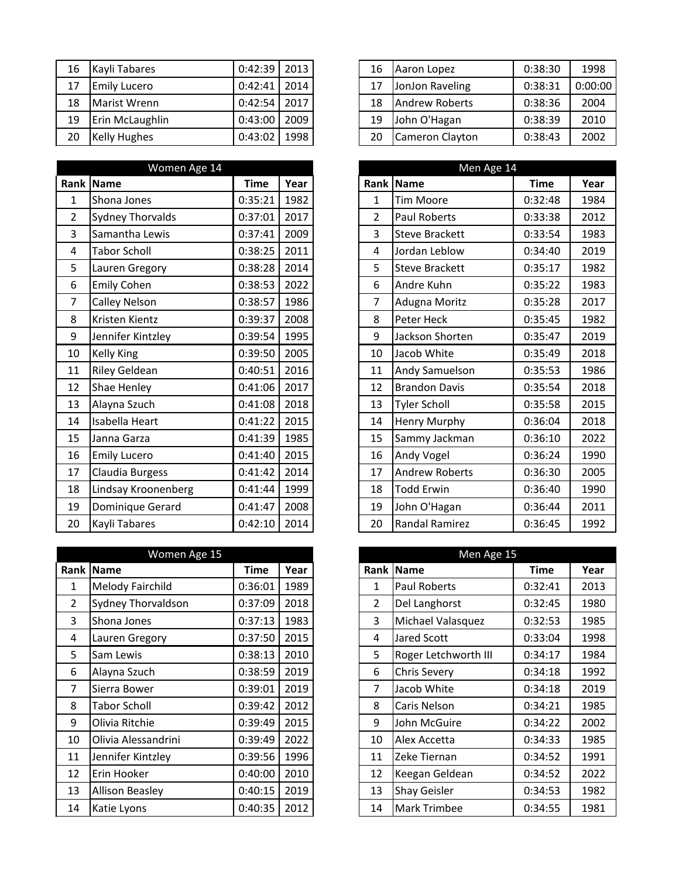|    | 16   Kayli Tabares  | $0:42:39$   2013 |      |
|----|---------------------|------------------|------|
| 17 | <b>Emily Lucero</b> | $0:42:41$ 2014   |      |
| 18 | Marist Wrenn        | $0:42:54$ 2017   |      |
| 19 | Erin McLaughlin     | $0:43:00$   2009 |      |
| 20 | <b>Kelly Hughes</b> | 0:43:02          | 1998 |

|                | Women Age 14            |             |      |
|----------------|-------------------------|-------------|------|
| Rank           | Name                    | <b>Time</b> | Year |
| $\mathbf{1}$   | Shona Jones             | 0:35:21     | 1982 |
| $\overline{2}$ | <b>Sydney Thorvalds</b> | 0:37:01     | 2017 |
| 3              | Samantha Lewis          | 0:37:41     | 2009 |
| 4              | <b>Tabor Scholl</b>     | 0:38:25     | 2011 |
| 5              | Lauren Gregory          | 0:38:28     | 2014 |
| 6              | <b>Emily Cohen</b>      | 0:38:53     | 2022 |
| $\overline{7}$ | <b>Calley Nelson</b>    | 0:38:57     | 1986 |
| 8              | Kristen Kientz          | 0:39:37     | 2008 |
| 9              | Jennifer Kintzley       | 0:39:54     | 1995 |
| 10             | Kelly King              | 0:39:50     | 2005 |
| 11             | Riley Geldean           | 0:40:51     | 2016 |
| 12             | Shae Henley             | 0:41:06     | 2017 |
| 13             | Alayna Szuch            | 0:41:08     | 2018 |
| 14             | Isabella Heart          | 0:41:22     | 2015 |
| 15             | Janna Garza             | 0:41:39     | 1985 |
| 16             | <b>Emily Lucero</b>     | 0:41:40     | 2015 |
| 17             | Claudia Burgess         | 0:41:42     | 2014 |
| 18             | Lindsay Kroonenberg     | 0:41:44     | 1999 |
| 19             | Dominique Gerard        | 0:41:47     | 2008 |
| 20             | Kayli Tabares           | 0:42:10     | 2014 |

|                | Women Age 15              |         |      | Men Age 15     |                      |         |      |
|----------------|---------------------------|---------|------|----------------|----------------------|---------|------|
| Rank           | Name                      | Time    | Year |                | Rank Name            | Time    | Year |
| 1              | Melody Fairchild          | 0:36:01 | 1989 | 1              | Paul Roberts         | 0:32:41 | 2013 |
| $\overline{2}$ | <b>Sydney Thorvaldson</b> | 0:37:09 | 2018 | $\overline{2}$ | Del Langhorst        | 0:32:45 | 1980 |
| 3              | Shona Jones               | 0:37:13 | 1983 | $\overline{3}$ | Michael Valasquez    | 0:32:53 | 1985 |
| 4              | Lauren Gregory            | 0:37:50 | 2015 | 4              | Jared Scott          | 0:33:04 | 1998 |
| 5              | Sam Lewis                 | 0:38:13 | 2010 | 5              | Roger Letchworth III | 0:34:17 | 1984 |
| 6              | Alayna Szuch              | 0:38:59 | 2019 | 6              | <b>Chris Severy</b>  | 0:34:18 | 1992 |
| 7              | Sierra Bower              | 0:39:01 | 2019 | 7              | Jacob White          | 0:34:18 | 2019 |
| 8              | <b>Tabor Scholl</b>       | 0:39:42 | 2012 | 8              | Caris Nelson         | 0:34:21 | 1985 |
| 9              | Olivia Ritchie            | 0:39:49 | 2015 | 9              | John McGuire         | 0:34:22 | 2002 |
| 10             | Olivia Alessandrini       | 0:39:49 | 2022 | 10             | Alex Accetta         | 0:34:33 | 1985 |
| 11             | Jennifer Kintzley         | 0:39:56 | 1996 | 11             | Zeke Tiernan         | 0:34:52 | 1991 |
| 12             | Erin Hooker               | 0:40:00 | 2010 | 12             | Keegan Geldean       | 0:34:52 | 2022 |
| 13             | <b>Allison Beasley</b>    | 0:40:15 | 2019 | 13             | Shay Geisler         | 0:34:53 | 1982 |
| 14             | Katie Lyons               | 0:40:35 | 2012 | 14             | Mark Trimbee         | 0:34:55 | 1981 |

| 16 | Kayli Tabares       | $0:42:39$ 2013 |      | 16 | Aaron Lopez            | 0:38:30 | 1998    |
|----|---------------------|----------------|------|----|------------------------|---------|---------|
| 17 | <b>Emily Lucero</b> | $0:42:41$ 2014 |      | 17 | JonJon Raveling        | 0:38:31 | 0:00:00 |
| 18 | Marist Wrenn        | 0:42:54        | 2017 | 18 | <b>Andrew Roberts</b>  | 0:38:36 | 2004    |
| 19 | Erin McLaughlin     | 0:43:00        | 2009 | 19 | John O'Hagan           | 0:38:39 | 2010    |
| 20 | Kelly Hughes        | 0:43:02        | 1998 | 20 | <b>Cameron Clayton</b> | 0:38:43 | 2002    |

|                  | Women Age 14            |             |      |
|------------------|-------------------------|-------------|------|
|                  | ank  Name               | <b>Time</b> | Year |
| $\mathbf{1}$     | Shona Jones             | 0:35:21     | 1982 |
| $\overline{2}$   | <b>Sydney Thorvalds</b> | 0:37:01     | 2017 |
| 3                | Samantha Lewis          | 0:37:41     | 2009 |
| $\overline{4}$   | <b>Tabor Scholl</b>     | 0:38:25     | 2011 |
| 5                | Lauren Gregory          | 0:38:28     | 2014 |
| $\boldsymbol{6}$ | <b>Emily Cohen</b>      | 0:38:53     | 2022 |
| $\overline{7}$   | <b>Calley Nelson</b>    | 0:38:57     | 1986 |
| 8                | Kristen Kientz          | 0:39:37     | 2008 |
| 9                | Jennifer Kintzley       | 0:39:54     | 1995 |
| 10               | <b>Kelly King</b>       | 0:39:50     | 2005 |
| 11               | <b>Riley Geldean</b>    | 0:40:51     | 2016 |
| 12               | Shae Henley             | 0:41:06     | 2017 |
| 13               | Alayna Szuch            | 0:41:08     | 2018 |
| 14               | Isabella Heart          | 0:41:22     | 2015 |
| 15               | Janna Garza             | 0:41:39     | 1985 |
| 16               | <b>Emily Lucero</b>     | 0:41:40     | 2015 |
| 17               | Claudia Burgess         | 0:41:42     | 2014 |
| 18               | Lindsay Kroonenberg     | 0:41:44     | 1999 |
| 19               | Dominique Gerard        | 0:41:47     | 2008 |
| 20               | Kayli Tabares           | 0:42:10     | 2014 |

|                | Women Age 15            |         |      |  | Men Age 15     |                      |             |  |
|----------------|-------------------------|---------|------|--|----------------|----------------------|-------------|--|
|                | ank  Name               | Time    | Year |  |                | Rank Name            | <b>Time</b> |  |
| $\mathbf{1}$   | <b>Melody Fairchild</b> | 0:36:01 | 1989 |  | 1              | <b>Paul Roberts</b>  | 0:32:41     |  |
| $\overline{2}$ | Sydney Thorvaldson      | 0:37:09 | 2018 |  | $\overline{2}$ | Del Langhorst        | 0:32:45     |  |
| 3              | Shona Jones             | 0:37:13 | 1983 |  | 3              | Michael Valasquez    | 0:32:53     |  |
| 4              | Lauren Gregory          | 0:37:50 | 2015 |  | 4              | Jared Scott          | 0:33:04     |  |
| $5\phantom{.}$ | Sam Lewis               | 0:38:13 | 2010 |  | 5              | Roger Letchworth III | 0:34:17     |  |
| 6              | Alayna Szuch            | 0:38:59 | 2019 |  | 6              | <b>Chris Severy</b>  | 0:34:18     |  |
| $\overline{7}$ | Sierra Bower            | 0:39:01 | 2019 |  | 7              | Jacob White          | 0:34:18     |  |
| 8              | <b>Tabor Scholl</b>     | 0:39:42 | 2012 |  | 8              | Caris Nelson         | 0:34:21     |  |
| 9              | Olivia Ritchie          | 0:39:49 | 2015 |  | 9              | John McGuire         | 0:34:22     |  |
| 10             | Olivia Alessandrini     | 0:39:49 | 2022 |  | 10             | Alex Accetta         | 0:34:33     |  |
| 11             | Jennifer Kintzley       | 0:39:56 | 1996 |  | 11             | Zeke Tiernan         | 0:34:52     |  |
| 12             | Erin Hooker             | 0:40:00 | 2010 |  | 12             | Keegan Geldean       | 0:34:52     |  |
| 13             | <b>Allison Beasley</b>  | 0:40:15 | 2019 |  | 13             | <b>Shay Geisler</b>  | 0:34:53     |  |
| 14             | Katie Lyons             | 0:40:35 | 2012 |  | 14             | <b>Mark Trimbee</b>  | 0:34:55     |  |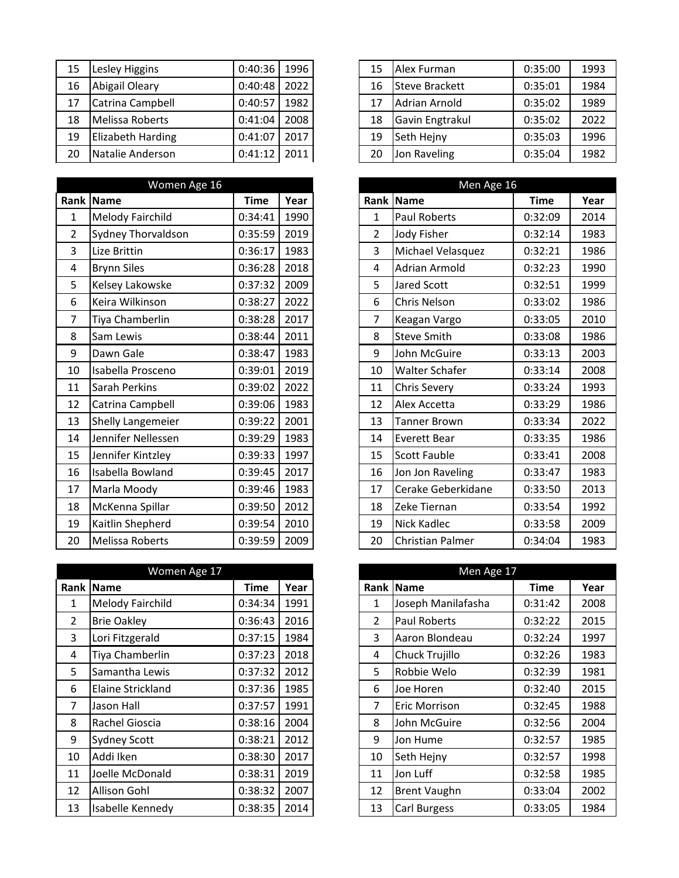| 15 | Lesley Higgins           | 0:40:36 | 1996 |
|----|--------------------------|---------|------|
| 16 | Abigail Oleary           | 0:40:48 | 2022 |
| 17 | Catrina Campbell         | 0:40:57 | 1982 |
| 18 | Melissa Roberts          | 0:41:04 | 2008 |
| 19 | <b>Elizabeth Harding</b> | 0:41:07 | 2017 |
| 20 | Natalie Anderson         | 0:41:12 | 2011 |

|                  | Women Age 16              |             |      |
|------------------|---------------------------|-------------|------|
| Rank             | Name                      | <b>Time</b> | Year |
| $\mathbf{1}$     | <b>Melody Fairchild</b>   | 0:34:41     | 1990 |
| $\overline{2}$   | <b>Sydney Thorvaldson</b> | 0:35:59     | 2019 |
| 3                | Lize Brittin              | 0:36:17     | 1983 |
| 4                | <b>Brynn Siles</b>        | 0:36:28     | 2018 |
| 5                | Kelsey Lakowske           | 0:37:32     | 2009 |
| 6                | Keira Wilkinson           | 0:38:27     | 2022 |
| $\overline{7}$   | Tiya Chamberlin           | 0:38:28     | 2017 |
| 8                | Sam Lewis                 | 0:38:44     | 2011 |
| $\boldsymbol{9}$ | Dawn Gale                 | 0:38:47     | 1983 |
| 10               | Isabella Prosceno         | 0:39:01     | 2019 |
| 11               | Sarah Perkins             | 0:39:02     | 2022 |
| 12               | Catrina Campbell          | 0:39:06     | 1983 |
| 13               | <b>Shelly Langemeier</b>  | 0:39:22     | 2001 |
| 14               | Jennifer Nellessen        | 0:39:29     | 1983 |
| 15               | Jennifer Kintzley         | 0:39:33     | 1997 |
| 16               | Isabella Bowland          | 0:39:45     | 2017 |
| 17               | Marla Moody               | 0:39:46     | 1983 |
| 18               | McKenna Spillar           | 0:39:50     | 2012 |
| 19               | Kaitlin Shepherd          | 0:39:54     | 2010 |
| 20               | <b>Melissa Roberts</b>    | 0:39:59     | 2009 |

|                | Women Age 17            | Men Age 17 |      |                |                      |         |      |
|----------------|-------------------------|------------|------|----------------|----------------------|---------|------|
|                | <b>Rank Name</b>        | Time       | Year |                | Rank Name            | Time    | Year |
| 1              | <b>Melody Fairchild</b> | 0:34:34    | 1991 | 1              | Joseph Manilafasha   | 0:31:42 | 2008 |
| $\overline{2}$ | <b>Brie Oakley</b>      | 0:36:43    | 2016 | $\overline{2}$ | <b>Paul Roberts</b>  | 0:32:22 | 2015 |
| 3              | Lori Fitzgerald         | 0:37:15    | 1984 | 3              | Aaron Blondeau       | 0:32:24 | 1997 |
| 4              | Tiya Chamberlin         | 0:37:23    | 2018 | 4              | Chuck Trujillo       | 0:32:26 | 1983 |
| 5              | Samantha Lewis          | 0:37:32    | 2012 | 5              | Robbie Welo          | 0:32:39 | 1981 |
| 6              | Elaine Strickland       | 0:37:36    | 1985 | 6              | Joe Horen            | 0:32:40 | 2015 |
| 7              | Jason Hall              | 0:37:57    | 1991 | $\overline{7}$ | <b>Eric Morrison</b> | 0:32:45 | 1988 |
| 8              | Rachel Gioscia          | 0:38:16    | 2004 | 8              | John McGuire         | 0:32:56 | 2004 |
| 9              | <b>Sydney Scott</b>     | 0:38:21    | 2012 | 9              | Jon Hume             | 0:32:57 | 1985 |
| 10             | Addi Iken               | 0:38:30    | 2017 | 10             | Seth Hejny           | 0:32:57 | 1998 |
| 11             | Joelle McDonald         | 0:38:31    | 2019 | 11             | Jon Luff             | 0:32:58 | 1985 |
| 12             | Allison Gohl            | 0:38:32    | 2007 | 12             | <b>Brent Vaughn</b>  | 0:33:04 | 2002 |
| 13             | Isabelle Kennedy        | 0:38:35    | 2014 | 13             | Carl Burgess         | 0:33:05 | 1984 |

| 15 | Lesley Higgins    | 0:40:36 | 1996 | 15 | Alex Furman           | 0:35:00 | 1993 |
|----|-------------------|---------|------|----|-----------------------|---------|------|
| 16 | Abigail Oleary    | 0:40:48 | 2022 | 16 | <b>Steve Brackett</b> | 0:35:01 | 1984 |
| 17 | Catrina Campbell  | 0:40:57 | 1982 | 17 | <b>Adrian Arnold</b>  | 0:35:02 | 1989 |
| 18 | Melissa Roberts   | 0:41:04 | 2008 | 18 | Gavin Engtrakul       | 0:35:02 | 2022 |
| 19 | Elizabeth Harding | 0:41:07 | 2017 | 19 | Seth Hejny            | 0:35:03 | 1996 |
| 20 | Natalie Anderson  | 0:41:12 | 2011 | 20 | Jon Raveling          | 0:35:04 | 1982 |
|    |                   |         |      |    |                       |         |      |

|                | Women Age 16              |             |      |
|----------------|---------------------------|-------------|------|
| ank            | Name                      | <b>Time</b> | Year |
| $\mathbf{1}$   | <b>Melody Fairchild</b>   | 0:34:41     | 1990 |
| $\overline{2}$ | <b>Sydney Thorvaldson</b> | 0:35:59     | 2019 |
| $\overline{3}$ | Lize Brittin              | 0:36:17     | 1983 |
| $\overline{4}$ | <b>Brynn Siles</b>        | 0:36:28     | 2018 |
| 5              | Kelsey Lakowske           | 0:37:32     | 2009 |
| 6              | Keira Wilkinson           | 0:38:27     | 2022 |
| $\overline{7}$ | Tiya Chamberlin           | 0:38:28     | 2017 |
| $\bf 8$        | Sam Lewis                 | 0:38:44     | 2011 |
| 9              | Dawn Gale                 | 0:38:47     | 1983 |
| 10             | Isabella Prosceno         | 0:39:01     | 2019 |
| 11             | Sarah Perkins             | 0:39:02     | 2022 |
| 12             | Catrina Campbell          | 0:39:06     | 1983 |
| 13             | <b>Shelly Langemeier</b>  | 0:39:22     | 2001 |
| 14             | Jennifer Nellessen        | 0:39:29     | 1983 |
| 15             | Jennifer Kintzley         | 0:39:33     | 1997 |
| 16             | Isabella Bowland          | 0:39:45     | 2017 |
| 17             | Marla Moody               | 0:39:46     | 1983 |
| 18             | McKenna Spillar           | 0:39:50     | 2012 |
| 19             | Kaitlin Shepherd          | 0:39:54     | 2010 |
| 20             | <b>Melissa Roberts</b>    | 0:39:59     | 2009 |

|                | Women Age 17            |         |      | Men Age 17     |                     |         |      |
|----------------|-------------------------|---------|------|----------------|---------------------|---------|------|
| ank            | Name                    | Time    | Year |                | Rank Name           | Time    | Year |
| $\mathbf{1}$   | <b>Melody Fairchild</b> | 0:34:34 | 1991 | 1              | Joseph Manilafasha  | 0:31:42 | 2008 |
| $\overline{2}$ | <b>Brie Oakley</b>      | 0:36:43 | 2016 | $\overline{2}$ | <b>Paul Roberts</b> | 0:32:22 | 2015 |
| $\mathbf{3}$   | Lori Fitzgerald         | 0:37:15 | 1984 | 3              | Aaron Blondeau      | 0:32:24 | 1997 |
| 4              | Tiya Chamberlin         | 0:37:23 | 2018 | 4              | Chuck Trujillo      | 0:32:26 | 1983 |
| 5              | Samantha Lewis          | 0:37:32 | 2012 | 5              | Robbie Welo         | 0:32:39 | 1981 |
| 6              | Elaine Strickland       | 0:37:36 | 1985 | 6              | Joe Horen           | 0:32:40 | 2015 |
| $\overline{7}$ | Jason Hall              | 0:37:57 | 1991 | 7              | Eric Morrison       | 0:32:45 | 1988 |
| 8              | Rachel Gioscia          | 0:38:16 | 2004 | 8              | John McGuire        | 0:32:56 | 2004 |
| 9              | <b>Sydney Scott</b>     | 0:38:21 | 2012 | 9              | Jon Hume            | 0:32:57 | 1985 |
| 10             | Addi Iken               | 0:38:30 | 2017 | 10             | Seth Hejny          | 0:32:57 | 1998 |
| 11             | Joelle McDonald         | 0:38:31 | 2019 | 11             | Jon Luff            | 0:32:58 | 1985 |
| 12             | <b>Allison Gohl</b>     | 0:38:32 | 2007 | 12             | <b>Brent Vaughn</b> | 0:33:04 | 2002 |
| 13             | Isabelle Kennedy        | 0:38:35 | 2014 | 13             | Carl Burgess        | 0:33:05 | 1984 |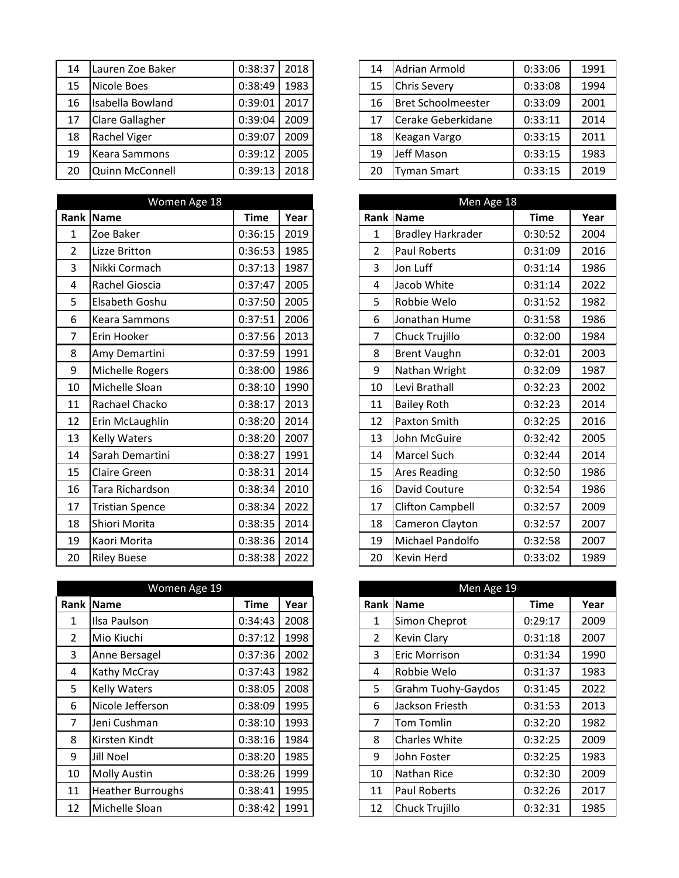| 14 | Lauren Zoe Baker       | 0:38:37 | 2018 |
|----|------------------------|---------|------|
| 15 | Nicole Boes            | 0:38:49 | 1983 |
| 16 | Isabella Bowland       | 0:39:01 | 2017 |
| 17 | <b>Clare Gallagher</b> | 0:39:04 | 2009 |
| 18 | Rachel Viger           | 0:39:07 | 2009 |
| 19 | <b>Keara Sammons</b>   | 0:39:12 | 2005 |
| 20 | <b>Quinn McConnell</b> | 0:39:13 | 2018 |

|                | Women Age 18           |             |      |                | Men Age 18               |             |      |
|----------------|------------------------|-------------|------|----------------|--------------------------|-------------|------|
| Rank           | <b>Name</b>            | <b>Time</b> | Year |                | Rank Name                | <b>Time</b> | Year |
| $\mathbf{1}$   | Zoe Baker              | 0:36:15     | 2019 | $\mathbf{1}$   | <b>Bradley Harkrader</b> | 0:30:52     | 2004 |
| $\overline{2}$ | Lizze Britton          | 0:36:53     | 1985 | $\overline{2}$ | Paul Roberts             | 0:31:09     | 2016 |
| 3              | Nikki Cormach          | 0:37:13     | 1987 | $\overline{3}$ | Jon Luff                 | 0:31:14     | 1986 |
| 4              | Rachel Gioscia         | 0:37:47     | 2005 | 4              | Jacob White              | 0:31:14     | 2022 |
| 5              | Elsabeth Goshu         | 0:37:50     | 2005 | 5              | Robbie Welo              | 0:31:52     | 1982 |
| 6              | Keara Sammons          | 0:37:51     | 2006 | 6              | Jonathan Hume            | 0:31:58     | 1986 |
| $\overline{7}$ | Erin Hooker            | 0:37:56     | 2013 | $\overline{7}$ | Chuck Trujillo           | 0:32:00     | 1984 |
| 8              | Amy Demartini          | 0:37:59     | 1991 | 8              | <b>Brent Vaughn</b>      | 0:32:01     | 2003 |
| 9              | Michelle Rogers        | 0:38:00     | 1986 | 9              | Nathan Wright            | 0:32:09     | 1987 |
| 10             | Michelle Sloan         | 0:38:10     | 1990 | 10             | Levi Brathall            | 0:32:23     | 2002 |
| 11             | Rachael Chacko         | 0:38:17     | 2013 | 11             | <b>Bailey Roth</b>       | 0:32:23     | 2014 |
| 12             | Erin McLaughlin        | 0:38:20     | 2014 | 12             | <b>Paxton Smith</b>      | 0:32:25     | 2016 |
| 13             | <b>Kelly Waters</b>    | 0:38:20     | 2007 | 13             | John McGuire             | 0:32:42     | 2005 |
| 14             | Sarah Demartini        | 0:38:27     | 1991 | 14             | Marcel Such              | 0:32:44     | 2014 |
| 15             | <b>Claire Green</b>    | 0:38:31     | 2014 | 15             | <b>Ares Reading</b>      | 0:32:50     | 1986 |
| 16             | Tara Richardson        | 0:38:34     | 2010 | 16             | David Couture            | 0:32:54     | 1986 |
| 17             | <b>Tristian Spence</b> | 0:38:34     | 2022 | 17             | Clifton Campbell         | 0:32:57     | 2009 |
| 18             | Shiori Morita          | 0:38:35     | 2014 | 18             | Cameron Clayton          | 0:32:57     | 2007 |
| 19             | Kaori Morita           | 0:38:36     | 2014 | 19             | Michael Pandolfo         | 0:32:58     | 2007 |
| 20             | <b>Riley Buese</b>     | 0:38:38     | 2022 | 20             | Kevin Herd               | 0:33:02     | 1989 |

|             | Women Age 19             |             |      |                | Men Age 19                |         |      |
|-------------|--------------------------|-------------|------|----------------|---------------------------|---------|------|
|             | Rank Name                | <b>Time</b> | Year |                | Rank Name                 | Time    | Year |
| $\mathbf 1$ | Ilsa Paulson             | 0:34:43     | 2008 | 1              | Simon Cheprot             | 0:29:17 | 2009 |
| 2           | Mio Kiuchi               | 0:37:12     | 1998 | $\overline{2}$ | <b>Kevin Clary</b>        | 0:31:18 | 2007 |
| 3           | Anne Bersagel            | 0:37:36     | 2002 | 3              | <b>Eric Morrison</b>      | 0:31:34 | 1990 |
| 4           | Kathy McCray             | 0:37:43     | 1982 | 4              | Robbie Welo               | 0:31:37 | 1983 |
| 5           | <b>Kelly Waters</b>      | 0:38:05     | 2008 | 5              | <b>Grahm Tuohy-Gaydos</b> | 0:31:45 | 2022 |
| 6           | Nicole Jefferson         | 0:38:09     | 1995 | 6              | Jackson Friesth           | 0:31:53 | 2013 |
| 7           | Jeni Cushman             | 0:38:10     | 1993 | 7              | Tom Tomlin                | 0:32:20 | 1982 |
| 8           | Kirsten Kindt            | 0:38:16     | 1984 | 8              | <b>Charles White</b>      | 0:32:25 | 2009 |
| 9           | Jill Noel                | 0:38:20     | 1985 | 9              | John Foster               | 0:32:25 | 1983 |
| 10          | <b>Molly Austin</b>      | 0:38:26     | 1999 | 10             | Nathan Rice               | 0:32:30 | 2009 |
| 11          | <b>Heather Burroughs</b> | 0:38:41     | 1995 | 11             | <b>Paul Roberts</b>       | 0:32:26 | 2017 |
| 12          | Michelle Sloan           | 0:38:42     | 1991 | 12             | <b>Chuck Trujillo</b>     | 0:32:31 | 1985 |

| 14 | Lauren Zoe Baker       | 0:38:37 | 2018 | 14 | <b>Adrian Armold</b>      | 0:33:06 | 1991 |
|----|------------------------|---------|------|----|---------------------------|---------|------|
| 15 | Nicole Boes            | 0:38:49 | 1983 | 15 | <b>Chris Severy</b>       | 0:33:08 | 1994 |
| 16 | Isabella Bowland       | 0:39:01 | 2017 | 16 | <b>Bret Schoolmeester</b> | 0:33:09 | 2001 |
| 17 | <b>Clare Gallagher</b> | 0:39:04 | 2009 | 17 | Cerake Geberkidane        | 0:33:11 | 2014 |
| 18 | <b>Rachel Viger</b>    | 0:39:07 | 2009 | 18 | Keagan Vargo              | 0:33:15 | 2011 |
| 19 | Keara Sammons          | 0:39:12 | 2005 | 19 | Jeff Mason                | 0:33:15 | 1983 |
| 20 | Quinn McConnell        | 0:39:13 | 2018 | 20 | <b>Tyman Smart</b>        | 0:33:15 | 2019 |
|    |                        |         |      |    |                           |         |      |

|                | Women Age 18           |             |      |  | Men Age 18     |                          |             |      |
|----------------|------------------------|-------------|------|--|----------------|--------------------------|-------------|------|
| ank            | Name                   | <b>Time</b> | Year |  | Rank           | <b>Name</b>              | <b>Time</b> | Year |
| $\mathbf{1}$   | Zoe Baker              | 0:36:15     | 2019 |  | $\mathbf{1}$   | <b>Bradley Harkrader</b> | 0:30:52     | 2004 |
| $\overline{2}$ | Lizze Britton          | 0:36:53     | 1985 |  | $\overline{2}$ | <b>Paul Roberts</b>      | 0:31:09     | 2016 |
| 3              | Nikki Cormach          | 0:37:13     | 1987 |  | 3              | Jon Luff                 | 0:31:14     | 1986 |
| 4              | Rachel Gioscia         | 0:37:47     | 2005 |  | 4              | Jacob White              | 0:31:14     | 2022 |
| 5              | Elsabeth Goshu         | 0:37:50     | 2005 |  | 5              | Robbie Welo              | 0:31:52     | 1982 |
| 6              | <b>Keara Sammons</b>   | 0:37:51     | 2006 |  | 6              | Jonathan Hume            | 0:31:58     | 1986 |
| $\overline{7}$ | Erin Hooker            | 0:37:56     | 2013 |  | 7              | Chuck Trujillo           | 0:32:00     | 1984 |
| 8              | Amy Demartini          | 0:37:59     | 1991 |  | 8              | <b>Brent Vaughn</b>      | 0:32:01     | 2003 |
| 9              | Michelle Rogers        | 0:38:00     | 1986 |  | 9              | Nathan Wright            | 0:32:09     | 1987 |
| 10             | Michelle Sloan         | 0:38:10     | 1990 |  | 10             | Levi Brathall            | 0:32:23     | 2002 |
| 11             | Rachael Chacko         | 0:38:17     | 2013 |  | 11             | <b>Bailey Roth</b>       | 0:32:23     | 2014 |
| 12             | Erin McLaughlin        | 0:38:20     | 2014 |  | 12             | Paxton Smith             | 0:32:25     | 2016 |
| 13             | <b>Kelly Waters</b>    | 0:38:20     | 2007 |  | 13             | John McGuire             | 0:32:42     | 2005 |
| 14             | Sarah Demartini        | 0:38:27     | 1991 |  | 14             | Marcel Such              | 0:32:44     | 2014 |
| 15             | Claire Green           | 0:38:31     | 2014 |  | 15             | <b>Ares Reading</b>      | 0:32:50     | 1986 |
| 16             | Tara Richardson        | 0:38:34     | 2010 |  | 16             | David Couture            | 0:32:54     | 1986 |
| 17             | <b>Tristian Spence</b> | 0:38:34     | 2022 |  | 17             | <b>Clifton Campbell</b>  | 0:32:57     | 2009 |
| 18             | Shiori Morita          | 0:38:35     | 2014 |  | 18             | Cameron Clayton          | 0:32:57     | 2007 |
| 19             | Kaori Morita           | 0:38:36     | 2014 |  | 19             | Michael Pandolfo         | 0:32:58     | 2007 |
| 20             | <b>Riley Buese</b>     | 0:38:38     | 2022 |  | 20             | Kevin Herd               | 0:33:02     | 1989 |

| Women Age 19   |                          |             |      | Men Age 19     |                           |             |      |  |
|----------------|--------------------------|-------------|------|----------------|---------------------------|-------------|------|--|
| ank            | <b>Name</b>              | <b>Time</b> | Year | Rank           | Name                      | <b>Time</b> | Year |  |
| $\mathbf{1}$   | Ilsa Paulson             | 0:34:43     | 2008 | 1              | Simon Cheprot             | 0:29:17     | 2009 |  |
| $\overline{2}$ | Mio Kiuchi               | 0:37:12     | 1998 | $\overline{2}$ | <b>Kevin Clary</b>        | 0:31:18     | 2007 |  |
| 3              | Anne Bersagel            | 0:37:36     | 2002 | 3              | <b>Eric Morrison</b>      | 0:31:34     | 1990 |  |
| $\overline{4}$ | Kathy McCray             | 0:37:43     | 1982 | 4              | Robbie Welo               | 0:31:37     | 1983 |  |
| 5              | <b>Kelly Waters</b>      | 0:38:05     | 2008 | 5              | <b>Grahm Tuohy-Gaydos</b> | 0:31:45     | 2022 |  |
| 6              | Nicole Jefferson         | 0:38:09     | 1995 | 6              | Jackson Friesth           | 0:31:53     | 2013 |  |
| $\overline{7}$ | Jeni Cushman             | 0:38:10     | 1993 | 7              | <b>Tom Tomlin</b>         | 0:32:20     | 1982 |  |
| 8              | Kirsten Kindt            | 0:38:16     | 1984 | 8              | <b>Charles White</b>      | 0:32:25     | 2009 |  |
| 9              | <b>Jill Noel</b>         | 0:38:20     | 1985 | 9              | John Foster               | 0:32:25     | 1983 |  |
| 10             | <b>Molly Austin</b>      | 0:38:26     | 1999 | 10             | Nathan Rice               | 0:32:30     | 2009 |  |
| 11             | <b>Heather Burroughs</b> | 0:38:41     | 1995 | 11             | Paul Roberts              | 0:32:26     | 2017 |  |
| 12             | Michelle Sloan           | 0:38:42     | 1991 | 12             | Chuck Trujillo            | 0:32:31     | 1985 |  |